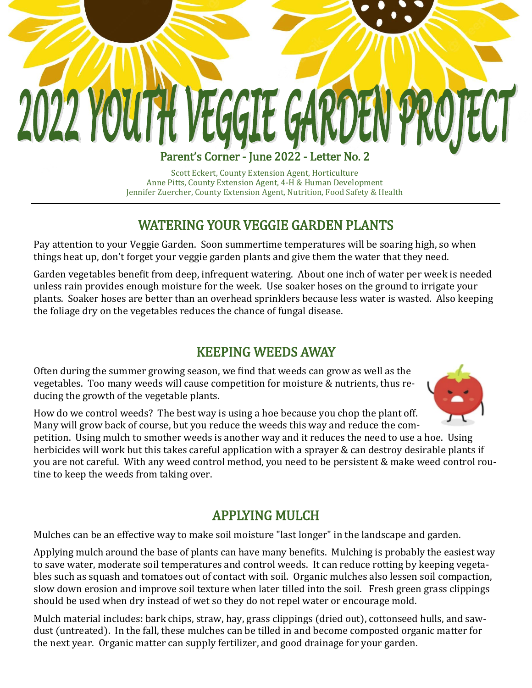# **2022 YOUTH VEGGIE GAR** EN PROJECT Parent's Corner - June 2022 - Letter No. 2

Scott Eckert, County Extension Agent, Horticulture Anne Pitts, County Extension Agent, 4-H & Human Development Jennifer Zuercher, County Extension Agent, Nutrition, Food Safety & Health

#### WATERING YOUR VEGGIE GARDEN PLANTS

Pay attention to your Veggie Garden. Soon summertime temperatures will be soaring high, so when things heat up, don't forget your veggie garden plants and give them the water that they need.

Garden vegetables benefit from deep, infrequent watering. About one inch of water per week is needed unless rain provides enough moisture for the week. Use soaker hoses on the ground to irrigate your plants. Soaker hoses are better than an overhead sprinklers because less water is wasted. Also keeping the foliage dry on the vegetables reduces the chance of fungal disease.

#### KEEPING WEEDS AWAY

Often during the summer growing season, we find that weeds can grow as well as the vegetables. Too many weeds will cause competition for moisture & nutrients, thus reducing the growth of the vegetable plants.



How do we control weeds? The best way is using a hoe because you chop the plant off. Many will grow back of course, but you reduce the weeds this way and reduce the com-

petition. Using mulch to smother weeds is another way and it reduces the need to use a hoe. Using herbicides will work but this takes careful application with a sprayer & can destroy desirable plants if you are not careful. With any weed control method, you need to be persistent & make weed control routine to keep the weeds from taking over.

### APPLYING MULCH

Mulches can be an effective way to make soil moisture "last longer" in the landscape and garden.

Applying mulch around the base of plants can have many benefits. Mulching is probably the easiest way to save water, moderate soil temperatures and control weeds. It can reduce rotting by keeping vegetables such as squash and tomatoes out of contact with soil. Organic mulches also lessen soil compaction, slow down erosion and improve soil texture when later tilled into the soil. Fresh green grass clippings should be used when dry instead of wet so they do not repel water or encourage mold.

Mulch material includes: bark chips, straw, hay, grass clippings (dried out), cottonseed hulls, and sawdust (untreated). In the fall, these mulches can be tilled in and become composted organic matter for the next year. Organic matter can supply fertilizer, and good drainage for your garden.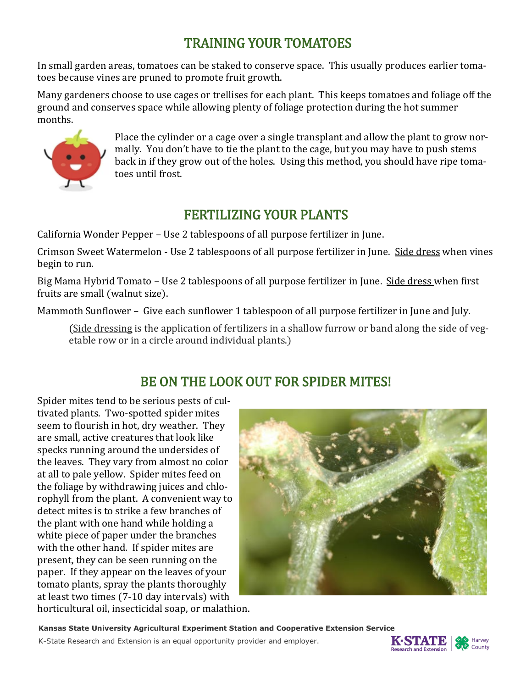## TRAINING YOUR TOMATOES

In small garden areas, tomatoes can be staked to conserve space. This usually produces earlier tomatoes because vines are pruned to promote fruit growth.

Many gardeners choose to use cages or trellises for each plant. This keeps tomatoes and foliage off the ground and conserves space while allowing plenty of foliage protection during the hot summer months.



Place the cylinder or a cage over a single transplant and allow the plant to grow normally. You don't have to tie the plant to the cage, but you may have to push stems back in if they grow out of the holes. Using this method, you should have ripe tomatoes until frost.

### FERTILIZING YOUR PLANTS

California Wonder Pepper – Use 2 tablespoons of all purpose fertilizer in June.

Crimson Sweet Watermelon - Use 2 tablespoons of all purpose fertilizer in June. Side dress when vines begin to run.

Big Mama Hybrid Tomato - Use 2 tablespoons of all purpose fertilizer in June. Side dress when first fruits are small (walnut size).

Mammoth Sunflower – Give each sunflower 1 tablespoon of all purpose fertilizer in June and July.

(Side dressing is the application of fertilizers in a shallow furrow or band along the side of vegetable row or in a circle around individual plants.)

### BE ON THE LOOK OUT FOR SPIDER MITES!

Spider mites tend to be serious pests of cultivated plants. Two-spotted spider mites seem to flourish in hot, dry weather. They are small, active creatures that look like specks running around the undersides of the leaves. They vary from almost no color at all to pale yellow. Spider mites feed on the foliage by withdrawing juices and chlorophyll from the plant. A convenient way to detect mites is to strike a few branches of the plant with one hand while holding a white piece of paper under the branches with the other hand. If spider mites are present, they can be seen running on the paper. If they appear on the leaves of your tomato plants, spray the plants thoroughly at least two times (7-10 day intervals) with horticultural oil, insecticidal soap, or malathion.



**Kansas State University Agricultural Experiment Station and Cooperative Extension Service**

K-State Research and Extension is an equal opportunity provider and employer.



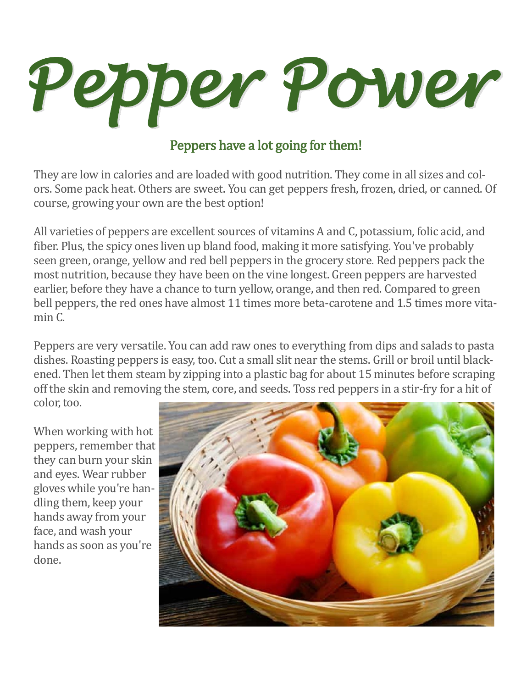

### Peppers have a lot going for them!

They are low in calories and are loaded with good nutrition. They come in all sizes and colors. Some pack heat. Others are sweet. You can get peppers fresh, frozen, dried, or canned. Of course, growing your own are the best option!

All varieties of peppers are excellent sources of vitamins A and C, potassium, folic acid, and fiber. Plus, the spicy ones liven up bland food, making it more satisfying. You've probably seen green, orange, yellow and red bell peppers in the grocery store. Red peppers pack the most nutrition, because they have been on the vine longest. Green peppers are harvested earlier, before they have a chance to turn yellow, orange, and then red. Compared to green bell peppers, the red ones have almost 11 times more beta-carotene and 1.5 times more vitamin C.

Peppers are very versatile. You can add raw ones to everything from dips and salads to pasta dishes. Roasting peppers is easy, too. Cut a small slit near the stems. Grill or broil until blackened. Then let them steam by zipping into a plastic bag for about 15 minutes before scraping off the skin and removing the stem, core, and seeds. Toss red peppers in a stir-fry for a hit of color, too.

When working with hot peppers, remember that they can burn your skin and eyes. Wear rubber gloves while you're handling them, keep your hands away from your face, and wash your hands as soon as you're done.